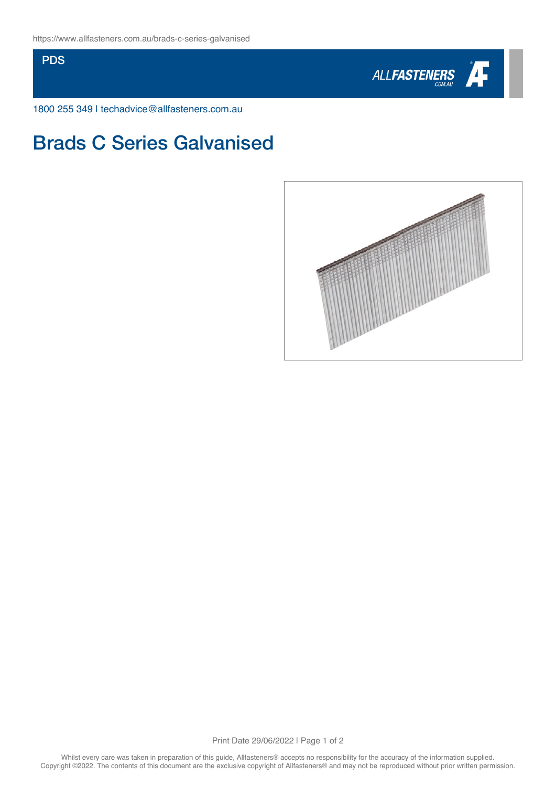PDS



1800 255 349 | techadvice@allfasteners.com.au

## Brads C Series Galvanised



Print Date 29/06/2022 | Page 1 of 2